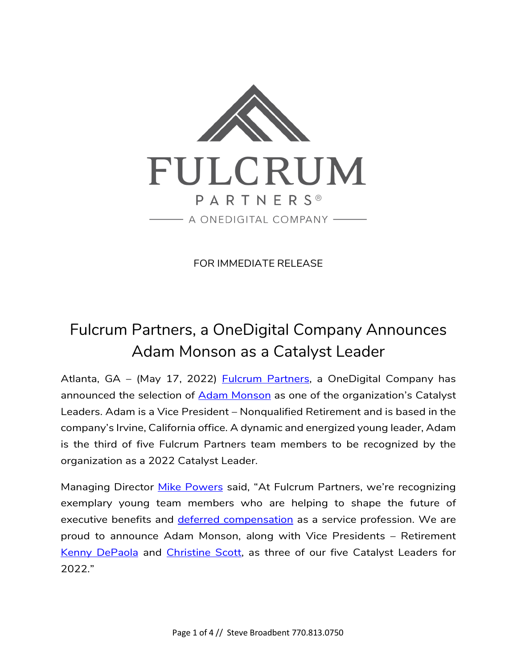

FOR IMMEDIATE RELEASE

## Fulcrum Partners, a OneDigital Company Announces Adam Monson as a Catalyst Leader

Atlanta, GA - (May 17, 2022) **Fulcrum Partners**, a OneDigital Company has announced the selection of [Adam Monson](https://fulcrumpartnersllc.com/team/adam-monson/) as one of the organization's Catalyst Leaders. Adam is a Vice President – Nonqualified Retirement and is based in the company's Irvine, California office. A dynamic and energized young leader, Adam is the third of five Fulcrum Partners team members to be recognized by the organization as a 2022 Catalyst Leader.

Managing Director [Mike Powers](https://fulcrumpartnersllc.com/team/mike-powers/) said, "At Fulcrum Partners, we're recognizing exemplary young team members who are helping to shape the future of executive benefits and [deferred compensation](https://fulcrumpartnersllc.com/409a-nonqualified-deferred-compensation/) as a service profession. We are proud to announce Adam Monson, along with Vice Presidents – Retirement [Kenny DePaola](https://fulcrumpartnersllc.com/team/kenny-depaola/) and [Christine Scott,](https://fulcrumpartnersllc.com/team/christine-scott/) as three of our five Catalyst Leaders for 2022."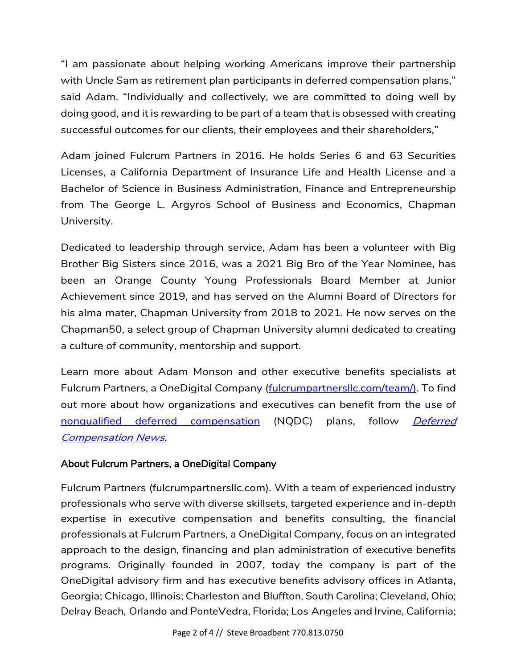"I am passionate about helping working Americans improve their partnership with Uncle Sam as retirement plan participants in deferred compensation plans," said Adam. "Individually and collectively, we are committed to doing well by doing good, and it is rewarding to be part of a team that is obsessed with creating successful outcomes for our clients, their employees and their shareholders,"

Adam joined Fulcrum Partners in 2016. He holds Series 6 and 63 Securities Licenses, a California Department of Insurance Life and Health License and a Bachelor of Science in Business Administration, Finance and Entrepreneurship from The George L. Argyros School of Business and Economics, Chapman University.

Dedicated to leadership through service, Adam has been a volunteer with Big Brother Big Sisters since 2016, was a 2021 Big Bro of the Year Nominee, has been an Orange County Young Professionals Board Member at Junior Achievement since 2019, and has served on the Alumni Board of Directors for his alma mater, Chapman University from 2018 to 2021. He now serves on the Chapman50, a select group of Chapman University alumni dedicated to creating a culture of community, mentorship and support.

Learn more about Adam Monson and other executive benefits specialists at Fulcrum Partners, a OneDigital Company (fulcrumpartnerslic.com/team/). To find out more about how organizations and executives can benefit from the use of [nonqualified deferred compensation](https://fulcrumpartnersllc.com/409a-nonqualified-deferred-compensation/) (NQDC) plans, follow *Deferred* [Compensation News.](https://www.fulcrumpartnersllc.com/news/)

## About Fulcrum Partners, a OneDigital Company

Fulcrum Partners (fulcrumpartnersllc.com). With a team of experienced industry professionals who serve with diverse skillsets, targeted experience and in-depth expertise in executive compensation and benefits consulting, the financial professionals at Fulcrum Partners, a OneDigital Company, focus on an integrated approach to the design, financing and plan administration of executive benefits programs. Originally founded in 2007, today the company is part of the OneDigital advisory firm and has executive benefits advisory offices in Atlanta, Georgia; Chicago, Illinois; Charleston and Bluffton, South Carolina; Cleveland, Ohio; Delray Beach, Orlando and PonteVedra, Florida; Los Angeles and Irvine, California;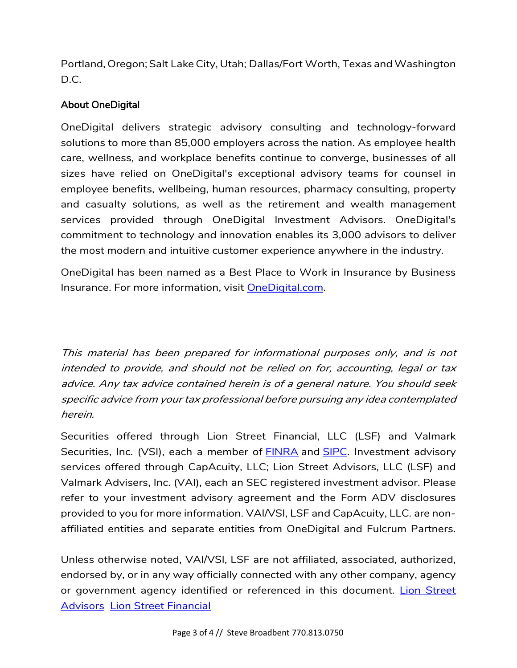Portland, Oregon; Salt Lake City, Utah; Dallas/Fort Worth, Texas and Washington D.C.

## About OneDigital

OneDigital delivers strategic advisory consulting and technology-forward solutions to more than 85,000 employers across the nation. As employee health care, wellness, and workplace benefits continue to converge, businesses of all sizes have relied on OneDigital's exceptional advisory teams for counsel in employee benefits, wellbeing, human resources, pharmacy consulting, property and casualty solutions, as well as the retirement and wealth management services provided through OneDigital Investment Advisors. OneDigital's commitment to technology and innovation enables its 3,000 advisors to deliver the most modern and intuitive customer experience anywhere in the industry.

OneDigital has been named as a Best Place to Work in Insurance by Business Insurance. For more information, visit [OneDigital.com.](https://cts.businesswire.com/ct/CT?id=smartlink&url=http%3A%2F%2Fwww.onedigital.com%2F&esheet=52688955&newsitemid=20220418005360&lan=en-US&anchor=OneDigital.com&index=2&md5=6c1b827ebce78967705a2d49a2f9b569)

This material has been prepared for informational purposes only, and is not intended to provide, and should not be relied on for, accounting, legal or tax advice. Any tax advice contained herein is of a general nature. You should seek specific advice from your tax professional before pursuing any idea contemplated herein.

Securities offered through Lion Street Financial, LLC (LSF) and Valmark Securities, Inc. (VSI), each a member of **[FINRA](http://www.finra.org/)** and **SIPC**. Investment advisory services offered through CapAcuity, LLC; Lion Street Advisors, LLC (LSF) and Valmark Advisers, Inc. (VAI), each an SEC registered investment advisor. Please refer to your investment advisory agreement and the Form ADV disclosures provided to you for more information. VAI/VSI, LSF and CapAcuity, LLC. are nonaffiliated entities and separate entities from OneDigital and Fulcrum Partners.

Unless otherwise noted, VAI/VSI, LSF are not affiliated, associated, authorized, endorsed by, or in any way officially connected with any other company, agency or government agency identified or referenced in this document. Lion Street [Advisors](https://lionstreet.com/wp-content/uploads/2021/05/Lion-Street-Advisors-Form-CRS-2020-10-30.pdf) [Lion Street Financial](https://lionstreet.com/wp-content/uploads/2021/05/Lion-Street-Financial-Form-CRS.pdf)